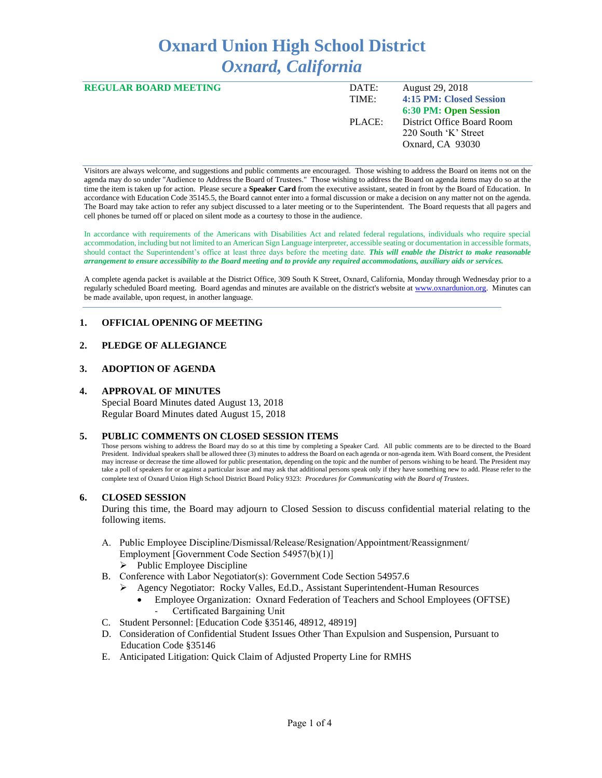# **Oxnard Union High School District** *Oxnard, California*

| <b>REGULAR BOARD MEETING</b> | DATE:  | August 29, 2018            |
|------------------------------|--------|----------------------------|
|                              | TIME:  | 4:15 PM: Closed Session    |
|                              |        | 6:30 PM: Open Session      |
|                              | PLACE: | District Office Board Room |
|                              |        | 220 South 'K' Street       |
|                              |        | Oxnard, CA 93030           |
|                              |        |                            |

Visitors are always welcome, and suggestions and public comments are encouraged. Those wishing to address the Board on items not on the agenda may do so under "Audience to Address the Board of Trustees." Those wishing to address the Board on agenda items may do so at the time the item is taken up for action. Please secure a **Speaker Card** from the executive assistant, seated in front by the Board of Education. In accordance with Education Code 35145.5, the Board cannot enter into a formal discussion or make a decision on any matter not on the agenda. The Board may take action to refer any subject discussed to a later meeting or to the Superintendent. The Board requests that all pagers and cell phones be turned off or placed on silent mode as a courtesy to those in the audience.

In accordance with requirements of the Americans with Disabilities Act and related federal regulations, individuals who require special accommodation, including but not limited to an American Sign Language interpreter, accessible seating or documentation in accessible formats, should contact the Superintendent's office at least three days before the meeting date. *This will enable the District to make reasonable arrangement to ensure accessibility to the Board meeting and to provide any required accommodations, auxiliary aids or services.* 

A complete agenda packet is available at the District Office, 309 South K Street, Oxnard, California, Monday through Wednesday prior to a regularly scheduled Board meeting. Board agendas and minutes are available on the district's website a[t www.ox](http://www.o/)nardunion.org.Minutes can be made available, upon request, in another language.

## **1. OFFICIAL OPENING OF MEETING**

# **2. PLEDGE OF ALLEGIANCE**

#### **3. ADOPTION OF AGENDA**

#### **4. APPROVAL OF MINUTES**

Special Board Minutes dated August 13, 2018 Regular Board Minutes dated August 15, 2018

#### **5. PUBLIC COMMENTS ON CLOSED SESSION ITEMS**

Those persons wishing to address the Board may do so at this time by completing a Speaker Card. All public comments are to be directed to the Board President. Individual speakers shall be allowed three (3) minutes to address the Board on each agenda or non-agenda item. With Board consent, the President may increase or decrease the time allowed for public presentation, depending on the topic and the number of persons wishing to be heard. The President may take a poll of speakers for or against a particular issue and may ask that additional persons speak only if they have something new to add. Please refer to the complete text of Oxnard Union High School District Board Policy 9323: *Procedures for Communicating with the Board of Trustees*.

#### **6. CLOSED SESSION**

During this time, the Board may adjourn to Closed Session to discuss confidential material relating to the following items.

A. Public Employee Discipline/Dismissal/Release/Resignation/Appointment/Reassignment/ Employment [Government Code Section 54957(b)(1)]

 $\triangleright$  Public Employee Discipline

- B. Conference with Labor Negotiator(s): Government Code Section 54957.6
	- ➢ Agency Negotiator: Rocky Valles, Ed.D., Assistant Superintendent-Human Resources
		- Employee Organization: Oxnard Federation of Teachers and School Employees (OFTSE) Certificated Bargaining Unit
- C. Student Personnel: [Education Code §35146, 48912, 48919]
- D. Consideration of Confidential Student Issues Other Than Expulsion and Suspension, Pursuant to Education Code §35146
- E. Anticipated Litigation: Quick Claim of Adjusted Property Line for RMHS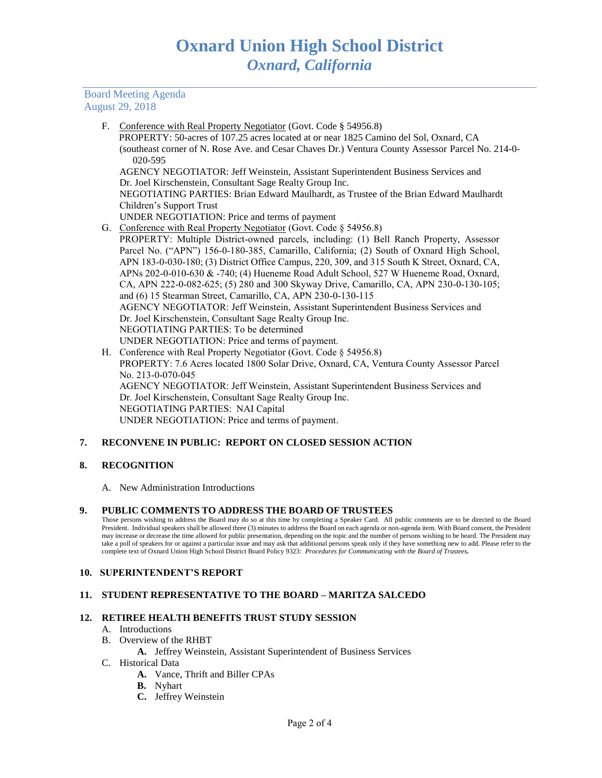## Board Meeting Agenda August 29, 2018

F. Conference with Real Property Negotiator (Govt. Code § 54956.8) PROPERTY: 50-acres of 107.25 acres located at or near 1825 Camino del Sol, Oxnard, CA (southeast corner of N. Rose Ave. and Cesar Chaves Dr.) Ventura County Assessor Parcel No. 214-0- 020-595

AGENCY NEGOTIATOR: Jeff Weinstein, Assistant Superintendent Business Services and Dr. Joel Kirschenstein, Consultant Sage Realty Group Inc.

NEGOTIATING PARTIES: Brian Edward Maulhardt, as Trustee of the Brian Edward Maulhardt Children's Support Trust

- UNDER NEGOTIATION: Price and terms of payment
- G. Conference with Real Property Negotiator (Govt. Code § 54956.8)
- PROPERTY: Multiple District-owned parcels, including: (1) Bell Ranch Property, Assessor Parcel No. ("APN") 156-0-180-385, Camarillo, California; (2) South of Oxnard High School, APN 183-0-030-180; (3) District Office Campus, 220, 309, and 315 South K Street, Oxnard, CA, APNs 202-0-010-630 & -740; (4) Hueneme Road Adult School, 527 W Hueneme Road, Oxnard, CA, APN 222-0-082-625; (5) 280 and 300 Skyway Drive, Camarillo, CA, APN 230-0-130-105; and (6) 15 Stearman Street, Camarillo, CA, APN 230-0-130-115 AGENCY NEGOTIATOR: Jeff Weinstein, Assistant Superintendent Business Services and Dr. Joel Kirschenstein, Consultant Sage Realty Group Inc. NEGOTIATING PARTIES: To be determined UNDER NEGOTIATION: Price and terms of payment.
- H. Conference with Real Property Negotiator (Govt. Code § 54956.8) PROPERTY: 7.6 Acres located 1800 Solar Drive, Oxnard, CA, Ventura County Assessor Parcel No. 213-0-070-045 AGENCY NEGOTIATOR: Jeff Weinstein, Assistant Superintendent Business Services and Dr. Joel Kirschenstein, Consultant Sage Realty Group Inc. NEGOTIATING PARTIES: NAI Capital UNDER NEGOTIATION: Price and terms of payment.

# **7. RECONVENE IN PUBLIC: REPORT ON CLOSED SESSION ACTION**

# **8. RECOGNITION**

A. New Administration Introductions

## **9. PUBLIC COMMENTS TO ADDRESS THE BOARD OF TRUSTEES**

Those persons wishing to address the Board may do so at this time by completing a Speaker Card. All public comments are to be directed to the Board President. Individual speakers shall be allowed three (3) minutes to address the Board on each agenda or non-agenda item. With Board consent, the President may increase or decrease the time allowed for public presentation, depending on the topic and the number of persons wishing to be heard. The President may take a poll of speakers for or against a particular issue and may ask that additional persons speak only if they have something new to add. Please refer to the complete text of Oxnard Union High School District Board Policy 9323: *Procedures for Communicating with the Board of Trustees.*

## **10. SUPERINTENDENT'S REPORT**

## **11. STUDENT REPRESENTATIVE TO THE BOARD – MARITZA SALCEDO**

## **12. RETIREE HEALTH BENEFITS TRUST STUDY SESSION**

- A. Introductions
- B. Overview of the RHBT
	- **A.** Jeffrey Weinstein, Assistant Superintendent of Business Services
- C. Historical Data
	- **A.** Vance, Thrift and Biller CPAs
	- **B.** Nyhart
	- **C.** Jeffrey Weinstein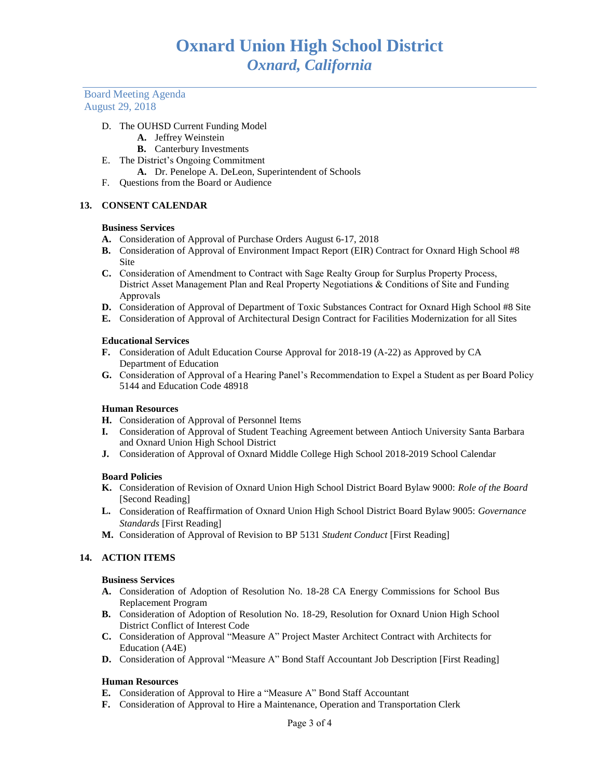Board Meeting Agenda August 29, 2018

## D. The OUHSD Current Funding Model

- **A.** Jeffrey Weinstein
- **B.** Canterbury Investments
- E. The District's Ongoing Commitment **A.** Dr. Penelope A. DeLeon, Superintendent of Schools
- F. Questions from the Board or Audience

# **13. CONSENT CALENDAR**

#### **Business Services**

- **A.** Consideration of Approval of Purchase Orders August 6-17, 2018
- **B.** Consideration of Approval of Environment Impact Report (EIR) Contract for Oxnard High School #8 Site
- **C.** Consideration of Amendment to Contract with Sage Realty Group for Surplus Property Process, District Asset Management Plan and Real Property Negotiations & Conditions of Site and Funding Approvals
- **D.** Consideration of Approval of Department of Toxic Substances Contract for Oxnard High School #8 Site
- **E.** Consideration of Approval of Architectural Design Contract for Facilities Modernization for all Sites

## **Educational Services**

- **F.** Consideration of Adult Education Course Approval for 2018-19 (A-22) as Approved by CA Department of Education
- **G.** Consideration of Approval of a Hearing Panel's Recommendation to Expel a Student as per Board Policy 5144 and Education Code 48918

## **Human Resources**

- **H.** Consideration of Approval of Personnel Items
- **I.** Consideration of Approval of Student Teaching Agreement between Antioch University Santa Barbara and Oxnard Union High School District
- **J.** Consideration of Approval of Oxnard Middle College High School 2018-2019 School Calendar

## **Board Policies**

- **K.** Consideration of Revision of Oxnard Union High School District Board Bylaw 9000: *Role of the Board*  [Second Reading]
- **L.** Consideration of Reaffirmation of Oxnard Union High School District Board Bylaw 9005: *Governance Standards* [First Reading]
- **M.** Consideration of Approval of Revision to BP 5131 *Student Conduct* [First Reading]

## **14. ACTION ITEMS**

## **Business Services**

- **A.** Consideration of Adoption of Resolution No. 18-28 CA Energy Commissions for School Bus Replacement Program
- **B.** Consideration of Adoption of Resolution No. 18-29, Resolution for Oxnard Union High School District Conflict of Interest Code
- **C.** Consideration of Approval "Measure A" Project Master Architect Contract with Architects for Education (A4E)
- **D.** Consideration of Approval "Measure A" Bond Staff Accountant Job Description [First Reading]

## **Human Resources**

- **E.** Consideration of Approval to Hire a "Measure A" Bond Staff Accountant
- **F.** Consideration of Approval to Hire a Maintenance, Operation and Transportation Clerk